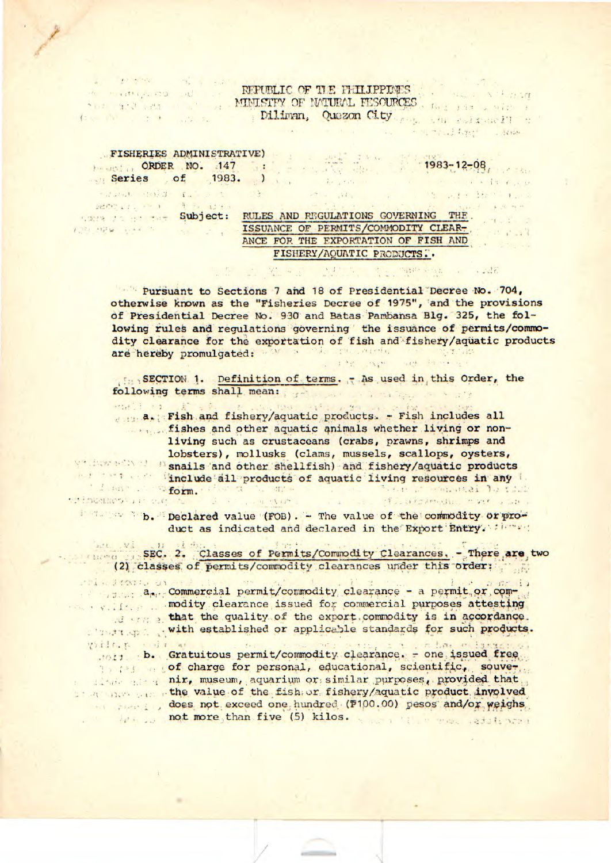## REPUBLIC OF THE PHILIPPINES NEW YORK STATES AND MUNISTEY OF MATURAL FESOURCES AND THE SALE AND THE

## FISHERIES ADMINISTRATIVE) Series of 1983. I am and the series

 $\sim 3$  .

- Samt Bible to Sales

to mastery and an

 $f_2$  and  $f_3$  and  $f_4$  and  $f_5$ 

PEOPLE PRINT REP

大学 3099 日本 5

arrive C.E.

**STEPHENOS APPROXIMATE** 

 $\rightarrow$  3

 $1983 - 12 - 08$ 

Sate which we will

When I is not

 $-11 + 1 - 11$ 

with Health and

with the common streets

 $\mathbf{R}$ RULES AND REGULATIONS GOVERNING THE. subject: ISSUANCE OF PERMITS/COMMODITY CLEAR-ANCE FOR THE EXPORTATION OF FISH AND FISHERY/AQUATIC PRODUCTS..

 $3.11 - 1$ 

Pursuant to Sections 7 and 18 of Presidential Decree No. 704, otherwise known as the "Fisheries Decree of 1975", and the provisions of Presidential Decree No. 930 and Batas Pambansa Blg. 325, the following rules and regulations governing the issuance of permits/commodity clearance for the exportation of fish and fishery/aquatic products are hereby promulgated: We will have an and the strate and the state

SECTION 1. Definition of terms. - As used in this Order, the following terms shall mean: www.communications.com

. . . . . . . Fish and fishery/aquatic products. - Fish includes all fishes and other aquatic animals whether living or nonliving such as crustaceans (crabs, prawns, shrimps and lobsters), mollusks (clams, mussels, scallops, oysters, we have a small and other shellfish) and fishery/aquatic products The line include all products of aquatic living resources in any "Long Storm. "Form." where I consumed to this Louis Were Strankream and above

b. Declared value (FOB). - The value of the commodity or product as indicated and declared in the Export Entry. : i. ...

 $\label{eq:1.1} \begin{array}{cc} \mathbf{1} & \mathbf{3} & \mathbf{5} \\ \mathbf{4} & \mathbf{5} \\ \mathbf{5} & \mathbf{6} \end{array}$ 

SEC. 2. Classes of Permits/Commodity Clearances. - There are two (2) classes of permits/commodity clearances under this order:

Police Pressure on a<sub>pp</sub> Commercial permit/commodity clearance - a permit or commodity clearance issued for commercial purposes attesting that the quality of the export commodity is in accordance. with established or applicable standards for such products.

Wilt. t dr w  $\approx$   $1.54$ . b. Gratuitous permit/commodity clearance. - one issued free the source of charge for personal, educational, scientific, souver the state of nir, museum, aquarium or similar purposes, provided that the value of the fish or fishery/aquatic product involved does not exceed one hundred (P100.00) pesos and/or weighs he was not more, than five (5) kilos.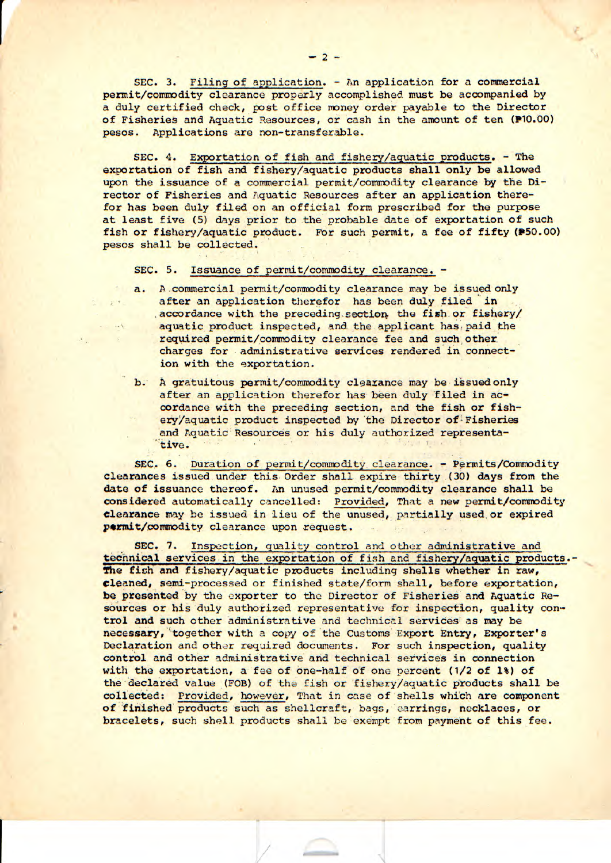SEC. 3. Filing of application. - An application for a commercial permit/commodity clearance properly accomplished must be accompanied by a duly certified check, post office money order payable to the Director of Fisheries and Aquatic Resources, or cash in the amount of ten (P10.00) pesos. Applications are non-transferable.

SEC. 4. Exportation of fish and fishery/aquatic products. - The exportation of fish and fishery/aquatic products shall only be allowed upon the issuance of a commercial permit/commodity clearance by the Director of Fisheries and Aquatic Resources after an application therefor has been duly filed on an official form prescribed for the purpose at least five (5) days prior to the probable date of exportation of such fish or fishery/aquatic product. For such permit, a fee of fifty (#50.00) pesos shall be collected.

SEC. 5. Issuance of permit/commodity clearance. -

 $2^{10}$ .

- a. A commercial permit/commodity clearance may be issued only after an application therefor has been duly filed in accordance with the preceding section the fish or fishery/ aquatic product inspected, and the applicant has paid the required permit/commodity clearance fee and such other charges for administrative services rendered in connection with the exportation.
	- b. A gratuitous permit/commodity clearance may be issued only after an application therefor has been duly filed in accordance with the preceding section, and the fish or fishery/aquatic product inspected by the Director of Fisheries and Aquatic Resources or his duly authorized representative.

SEC. 6. Duration of permit/commodity clearance. - Permits/Commodity clearances issued under this Order shall expire thirty (30) days from the date of issuance thereof. An unused permit/commodity clearance shall be considered automatically cancelled: Provided, That a new permit/commodity clearance may be issued in lieu of the unused, partially used or expired permit/commodity clearance upon request.

SEC. 7. Inspection, quality control and other administrative and tecnnical services in the exportation of fish and fishery/aquatic products.- **The** fish and fishery/aquatic products including shells whether in raw, cleaned, semi-processed or finished state/form shall, before exportation, **be presented** by the exporter to the Director of Fisheries and Aquatic Resources or his duly authorized representative for inspection, quality control and such other administrative and technical services as may be necessary, together with a copy of the Customs Export Entry, Exporter's Declaration and other required documents. For such inspection, quality control and other administrative and technical services in connection with the exportation, a fee of one-half of one percent (1/2 of 1%) of the declared value (FOB) of the fish or fishery/aquatic products shall be collected: Provided, however, That in case of shells which are component of finished products such as shellcraft, bags, earrings, necklaces, or bracelets, such shell products shall be exempt from payment of this fee.